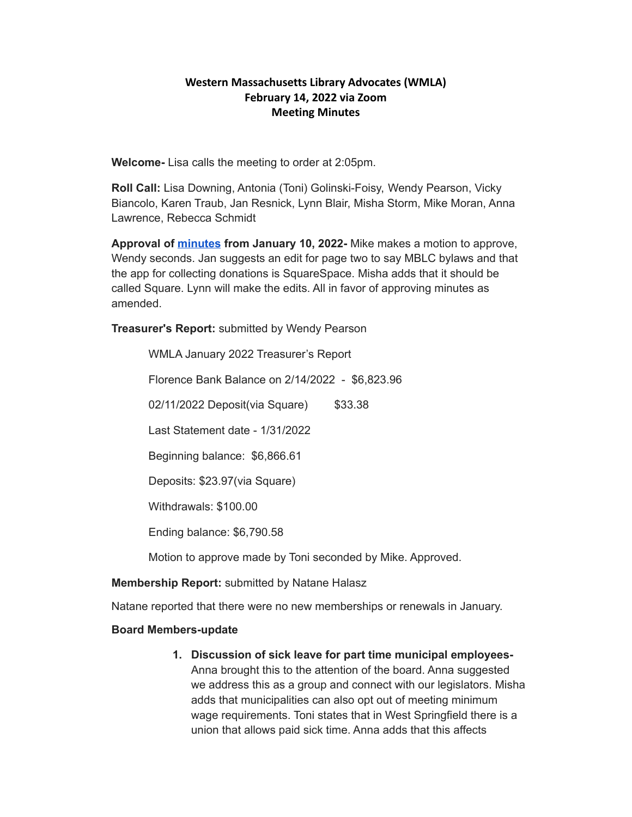## **Western Massachusetts Library Advocates (WMLA) February 14, 2022 via Zoom Meeting Minutes**

**Welcome-** Lisa calls the meeting to order at 2:05pm.

**Roll Call:** Lisa Downing, Antonia (Toni) Golinski-Foisy, Wendy Pearson, Vicky Biancolo, Karen Traub, Jan Resnick, Lynn Blair, Misha Storm, Mike Moran, Anna Lawrence, Rebecca Schmidt

**Approval of [minutes](https://docs.google.com/document/d/1G0FiuvoUj5JUoUhSSd_F_-QBcSVkExV2/edit?usp=sharing&ouid=106988731235467914385&rtpof=true&sd=true) from January 10, 2022-** Mike makes a motion to approve, Wendy seconds. Jan suggests an edit for page two to say MBLC bylaws and that the app for collecting donations is SquareSpace. Misha adds that it should be called Square. Lynn will make the edits. All in favor of approving minutes as amended.

**Treasurer's Report:** submitted by Wendy Pearson

WMLA January 2022 Treasurer's Report Florence Bank Balance on 2/14/2022 - \$6,823.96 02/11/2022 Deposit(via Square) \$33.38 Last Statement date - 1/31/2022 Beginning balance: \$6,866.61 Deposits: \$23.97(via Square) Withdrawals: \$100.00 Ending balance: \$6,790.58

Motion to approve made by Toni seconded by Mike. Approved.

**Membership Report:** submitted by Natane Halasz

Natane reported that there were no new memberships or renewals in January.

## **Board Members-update**

**1. Discussion of sick leave for part time municipal employees-**Anna brought this to the attention of the board. Anna suggested we address this as a group and connect with our legislators. Misha adds that municipalities can also opt out of meeting minimum wage requirements. Toni states that in West Springfield there is a union that allows paid sick time. Anna adds that this affects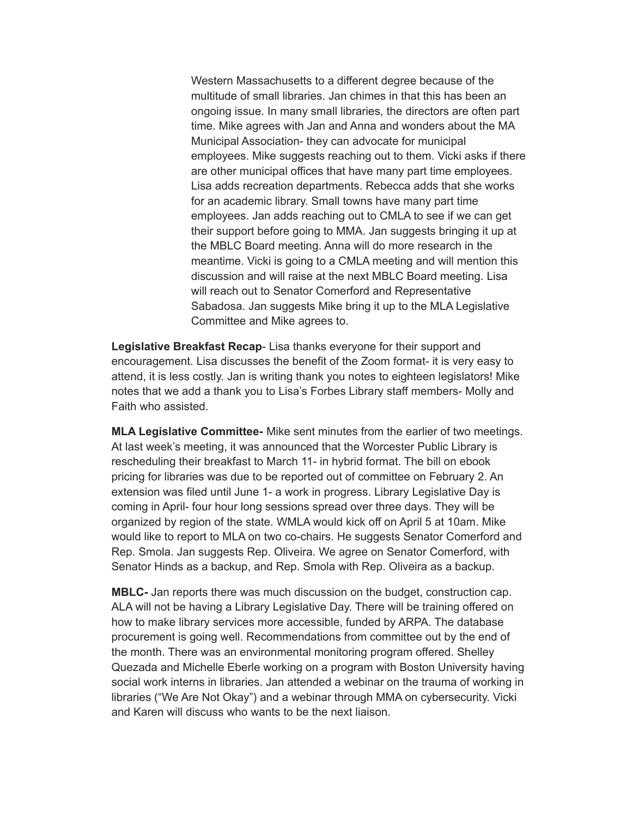Western Massachusetts to a different degree because of the multitude of small libraries. Jan chimes in that this has been an ongoing issue. In many small libraries, the directors are often part time. Mike agrees with Jan and Anna and wonders about the MA Municipal Association- they can advocate for municipal employees. Mike suggests reaching out to them. Vicki asks if there are other municipal offices that have many part time employees. Lisa adds recreation departments. Rebecca adds that she works for an academic library. Small towns have many part time employees. Jan adds reaching out to CMLA to see if we can get their support before going to MMA. Jan suggests bringing it up at the MBLC Board meeting. Anna will do more research in the meantime. Vicki is going to a CMLA meeting and will mention this discussion and will raise at the next MBLC Board meeting. Lisa will reach out to Senator Comerford and Representative Sabadosa. Jan suggests Mike bring it up to the MLA Legislative Committee and Mike agrees to.

**Legislative Breakfast Recap**- Lisa thanks everyone for their support and encouragement. Lisa discusses the benefit of the Zoom format- it is very easy to attend, it is less costly. Jan is writing thank you notes to eighteen legislators! Mike notes that we add a thank you to Lisa's Forbes Library staff members- Molly and Faith who assisted.

**MLA Legislative Committee-** Mike sent minutes from the earlier of two meetings. At last week's meeting, it was announced that the Worcester Public Library is rescheduling their breakfast to March 11- in hybrid format. The bill on ebook pricing for libraries was due to be reported out of committee on February 2. An extension was filed until June 1- a work in progress. Library Legislative Day is coming in April- four hour long sessions spread over three days. They will be organized by region of the state. WMLA would kick off on April 5 at 10am. Mike would like to report to MLA on two co-chairs. He suggests Senator Comerford and Rep. Smola. Jan suggests Rep. Oliveira. We agree on Senator Comerford, with Senator Hinds as a backup, and Rep. Smola with Rep. Oliveira as a backup.

**MBLC-** Jan reports there was much discussion on the budget, construction cap. ALA will not be having a Library Legislative Day. There will be training offered on how to make library services more accessible, funded by ARPA. The database procurement is going well. Recommendations from committee out by the end of the month. There was an environmental monitoring program offered. Shelley Quezada and Michelle Eberle working on a program with Boston University having social work interns in libraries. Jan attended a webinar on the trauma of working in libraries ("We Are Not Okay") and a webinar through MMA on cybersecurity. Vicki and Karen will discuss who wants to be the next liaison.